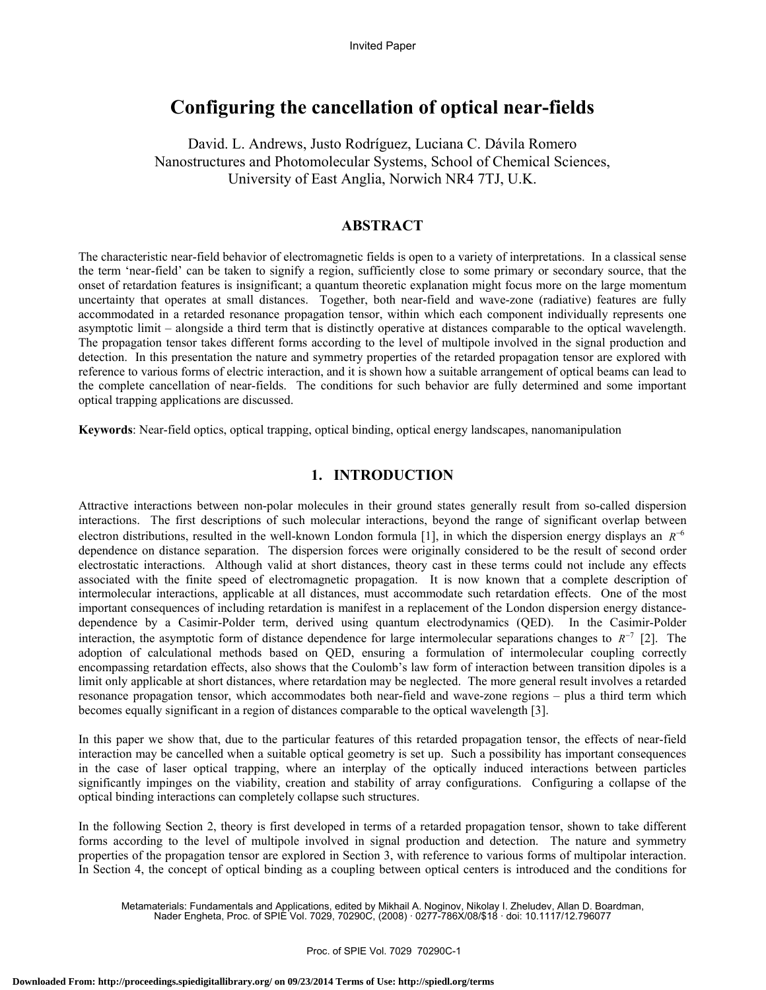# **Configuring the cancellation of optical near-fields**

David. L. Andrews, Justo Rodríguez, Luciana C. Dávila Romero Nanostructures and Photomolecular Systems, School of Chemical Sciences, University of East Anglia, Norwich NR4 7TJ, U.K.

# **ABSTRACT**

The characteristic near-field behavior of electromagnetic fields is open to a variety of interpretations. In a classical sense the term 'near-field' can be taken to signify a region, sufficiently close to some primary or secondary source, that the onset of retardation features is insignificant; a quantum theoretic explanation might focus more on the large momentum uncertainty that operates at small distances. Together, both near-field and wave-zone (radiative) features are fully accommodated in a retarded resonance propagation tensor, within which each component individually represents one asymptotic limit – alongside a third term that is distinctly operative at distances comparable to the optical wavelength. The propagation tensor takes different forms according to the level of multipole involved in the signal production and detection. In this presentation the nature and symmetry properties of the retarded propagation tensor are explored with reference to various forms of electric interaction, and it is shown how a suitable arrangement of optical beams can lead to the complete cancellation of near-fields. The conditions for such behavior are fully determined and some important optical trapping applications are discussed.

**Keywords**: Near-field optics, optical trapping, optical binding, optical energy landscapes, nanomanipulation

# **1. INTRODUCTION**

Attractive interactions between non-polar molecules in their ground states generally result from so-called dispersion interactions. The first descriptions of such molecular interactions, beyond the range of significant overlap between electron distributions, resulted in the well-known London formula [1], in which the dispersion energy displays an  $R^{-6}$ dependence on distance separation. The dispersion forces were originally considered to be the result of second order electrostatic interactions. Although valid at short distances, theory cast in these terms could not include any effects associated with the finite speed of electromagnetic propagation. It is now known that a complete description of intermolecular interactions, applicable at all distances, must accommodate such retardation effects. One of the most important consequences of including retardation is manifest in a replacement of the London dispersion energy distancedependence by a Casimir-Polder term, derived using quantum electrodynamics (QED). In the Casimir-Polder interaction, the asymptotic form of distance dependence for large intermolecular separations changes to  $R^{-7}$  [2]. The adoption of calculational methods based on QED, ensuring a formulation of intermolecular coupling correctly encompassing retardation effects, also shows that the Coulomb's law form of interaction between transition dipoles is a limit only applicable at short distances, where retardation may be neglected. The more general result involves a retarded resonance propagation tensor, which accommodates both near-field and wave-zone regions – plus a third term which becomes equally significant in a region of distances comparable to the optical wavelength [3].

In this paper we show that, due to the particular features of this retarded propagation tensor, the effects of near-field interaction may be cancelled when a suitable optical geometry is set up. Such a possibility has important consequences in the case of laser optical trapping, where an interplay of the optically induced interactions between particles significantly impinges on the viability, creation and stability of array configurations. Configuring a collapse of the optical binding interactions can completely collapse such structures.

In the following Section 2, theory is first developed in terms of a retarded propagation tensor, shown to take different forms according to the level of multipole involved in signal production and detection. The nature and symmetry properties of the propagation tensor are explored in Section 3, with reference to various forms of multipolar interaction. In Section 4, the concept of optical binding as a coupling between optical centers is introduced and the conditions for

Metamaterials: Fundamentals and Applications, edited by Mikhail A. Noginov, Nikolay I. Zheludev, Allan D. Boardman, Nader Engheta, Proc. of SPIE Vol. 7029, 70290C, (2008) · 0277-786X/08/\$18 · doi: 10.1117/12.796077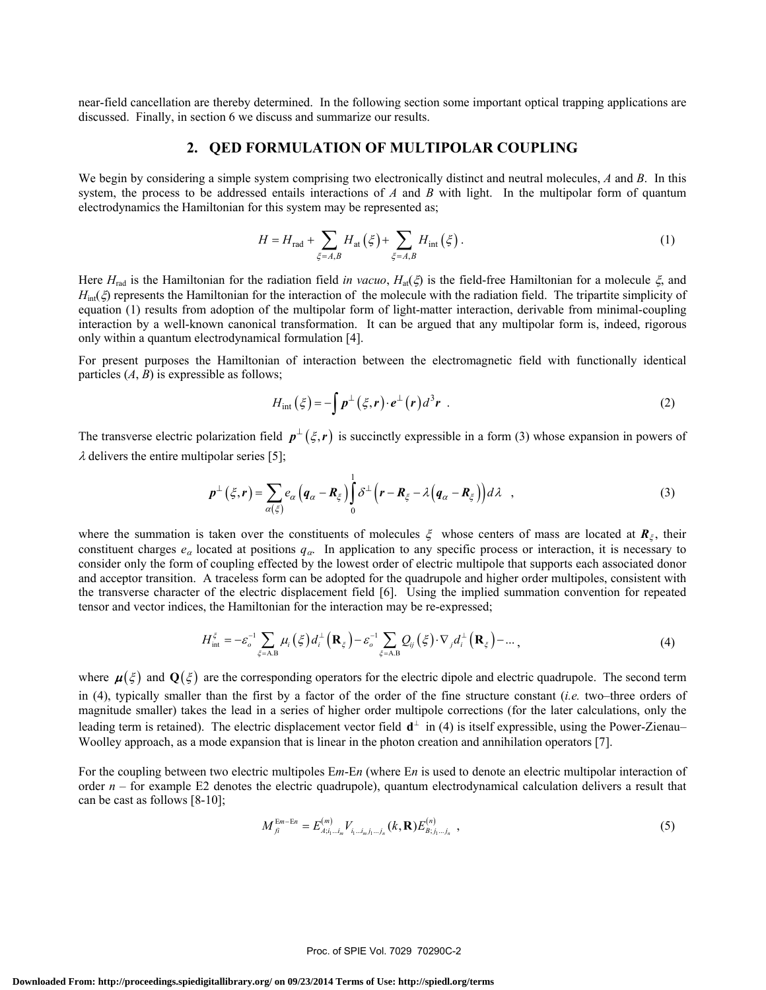near-field cancellation are thereby determined. In the following section some important optical trapping applications are discussed. Finally, in section 6 we discuss and summarize our results.

## **2. QED FORMULATION OF MULTIPOLAR COUPLING**

We begin by considering a simple system comprising two electronically distinct and neutral molecules, *A* and *B*. In this system, the process to be addressed entails interactions of *A* and *B* with light. In the multipolar form of quantum electrodynamics the Hamiltonian for this system may be represented as;

$$
H = H_{\text{rad}} + \sum_{\xi = A,B} H_{\text{at}}(\xi) + \sum_{\xi = A,B} H_{\text{int}}(\xi) \,. \tag{1}
$$

Here *H*rad is the Hamiltonian for the radiation field *in vacuo*, *H*at(ξ) is the field-free Hamiltonian for a molecule ξ, and *H*<sub>int</sub>(ζ) represents the Hamiltonian for the interaction of the molecule with the radiation field. The tripartite simplicity of equation (1) results from adoption of the multipolar form of light-matter interaction, derivable from minimal-coupling interaction by a well-known canonical transformation. It can be argued that any multipolar form is, indeed, rigorous only within a quantum electrodynamical formulation [4].

For present purposes the Hamiltonian of interaction between the electromagnetic field with functionally identical particles  $(A, B)$  is expressible as follows;

$$
H_{\text{int}}(\xi) = -\int p^{\perp}(\xi, r) \cdot e^{\perp}(r) d^3r \tag{2}
$$

The transverse electric polarization field  $p^{\perp}(\xi, r)$  is succinctly expressible in a form (3) whose expansion in powers of  $\lambda$  delivers the entire multipolar series [5];

$$
p^{\perp}(\xi,r) = \sum_{\alpha(\xi)} e_{\alpha} \left( q_{\alpha} - R_{\xi} \right) \int_{0}^{1} \delta^{\perp} \left( r - R_{\xi} - \lambda \left( q_{\alpha} - R_{\xi} \right) \right) d\lambda , \qquad (3)
$$

where the summation is taken over the constituents of molecules  $\xi$  whose centers of mass are located at  $\mathbf{R}_{\xi}$ , their constituent charges  $e_\alpha$  located at positions  $q_\alpha$ . In application to any specific process or interaction, it is necessary to consider only the form of coupling effected by the lowest order of electric multipole that supports each associated donor and acceptor transition. A traceless form can be adopted for the quadrupole and higher order multipoles, consistent with the transverse character of the electric displacement field [6]. Using the implied summation convention for repeated tensor and vector indices, the Hamiltonian for the interaction may be re-expressed;

$$
H_{int}^{\xi} = -\varepsilon_o^{-1} \sum_{\xi = AB} \mu_i \left( \xi \right) d_i^{\perp} \left( \mathbf{R}_{\xi} \right) - \varepsilon_o^{-1} \sum_{\xi = AB} Q_{ij} \left( \xi \right) \cdot \nabla_j d_i^{\perp} \left( \mathbf{R}_{\xi} \right) - \dots, \tag{4}
$$

where  $\mu(\xi)$  and  $\mathbf{Q}(\xi)$  are the corresponding operators for the electric dipole and electric quadrupole. The second term in (4), typically smaller than the first by a factor of the order of the fine structure constant (*i.e.* two–three orders of magnitude smaller) takes the lead in a series of higher order multipole corrections (for the later calculations, only the leading term is retained). The electric displacement vector field  $d<sup>⊥</sup>$  in (4) is itself expressible, using the Power-Zienau– Woolley approach, as a mode expansion that is linear in the photon creation and annihilation operators [7].

For the coupling between two electric multipoles E*m*-E*n* (where E*n* is used to denote an electric multipolar interaction of order *n* – for example E2 denotes the electric quadrupole), quantum electrodynamical calculation delivers a result that can be cast as follows [8-10];

$$
M_{fi}^{Em-En} = E_{A;i_1...i_m}^{(m)} V_{i_1...i_m,j_1...j_n}(k, \mathbf{R}) E_{B;j_1...j_n}^{(n)}, \qquad (5)
$$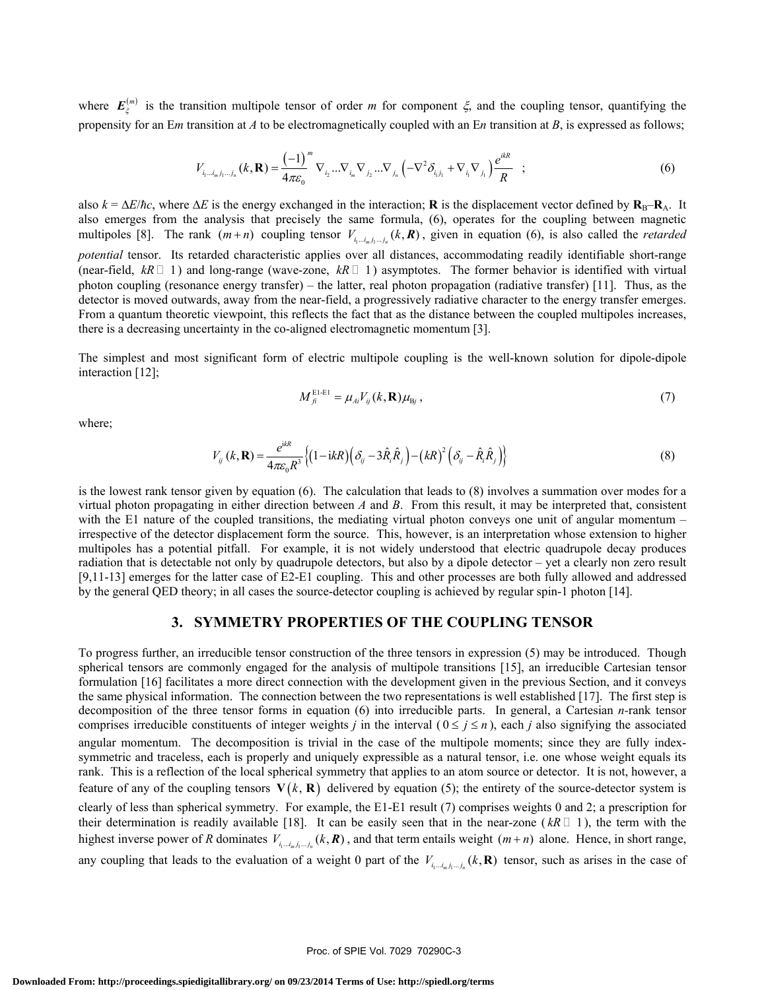where  $E_{\xi}^{(m)}$  is the transition multipole tensor of order *m* for component  $\xi$ , and the coupling tensor, quantifying the propensity for an E*m* transition at *A* to be electromagnetically coupled with an E*n* transition at *B*, is expressed as follows;

$$
V_{i_1...i_m,j_1...j_n}(k,\mathbf{R}) = \frac{(-1)^m}{4\pi\varepsilon_0} \nabla_{i_2}...\nabla_{i_m} \nabla_{j_2}...\nabla_{j_n} \left(-\nabla^2 \delta_{i_1j_1} + \nabla_{i_1} \nabla_{j_1}\right) \frac{e^{ikR}}{R} ; \qquad (6)
$$

also  $k = \Delta E/\hbar c$ , where  $\Delta E$  is the energy exchanged in the interaction; **R** is the displacement vector defined by  $\mathbf{R}_{\text{B}} - \mathbf{R}_{\text{A}}$ . It also emerges from the analysis that precisely the same formula, (6), operates for the coupling between magnetic multipoles [8]. The rank  $(m+n)$  coupling tensor  $V_{i_1...i_mj_1...j_n}(k,\mathbf{R})$ , given in equation (6), is also called the *retarded potential* tensor. Its retarded characteristic applies over all distances, accommodating readily identifiable short-range (near-field,  $kR \Box 1$ ) and long-range (wave-zone,  $kR \Box 1$ ) asymptotes. The former behavior is identified with virtual photon coupling (resonance energy transfer) – the latter, real photon propagation (radiative transfer) [11]. Thus, as the detector is moved outwards, away from the near-field, a progressively radiative character to the energy transfer emerges. From a quantum theoretic viewpoint, this reflects the fact that as the distance between the coupled multipoles increases, there is a decreasing uncertainty in the co-aligned electromagnetic momentum [3].

The simplest and most significant form of electric multipole coupling is the well-known solution for dipole-dipole interaction [12];

$$
M_{\hat{\mu}}^{\text{E1-E1}} = \mu_{\hat{\mu}} V_{ij}(k, \mathbf{R}) \mu_{\text{B}j},\tag{7}
$$

where;

$$
V_{ij} (k, \mathbf{R}) = \frac{e^{ikR}}{4\pi\varepsilon_0 R^3} \Big\{ \Big(1 - ikR\Big) \Big(\delta_{ij} - 3\hat{R}_i \hat{R}_j\Big) - \Big(kR\Big)^2 \Big(\delta_{ij} - \hat{R}_i \hat{R}_j\Big) \Big\}
$$
(8)

is the lowest rank tensor given by equation (6). The calculation that leads to (8) involves a summation over modes for a virtual photon propagating in either direction between *A* and *B*. From this result, it may be interpreted that, consistent with the E1 nature of the coupled transitions, the mediating virtual photon conveys one unit of angular momentum – irrespective of the detector displacement form the source. This, however, is an interpretation whose extension to higher multipoles has a potential pitfall. For example, it is not widely understood that electric quadrupole decay produces radiation that is detectable not only by quadrupole detectors, but also by a dipole detector – yet a clearly non zero result [9,11-13] emerges for the latter case of E2-E1 coupling. This and other processes are both fully allowed and addressed by the general QED theory; in all cases the source-detector coupling is achieved by regular spin-1 photon [14].

### **3. SYMMETRY PROPERTIES OF THE COUPLING TENSOR**

To progress further, an irreducible tensor construction of the three tensors in expression (5) may be introduced. Though spherical tensors are commonly engaged for the analysis of multipole transitions [15], an irreducible Cartesian tensor formulation [16] facilitates a more direct connection with the development given in the previous Section, and it conveys the same physical information. The connection between the two representations is well established [17]. The first step is decomposition of the three tensor forms in equation (6) into irreducible parts. In general, a Cartesian *n-*rank tensor comprises irreducible constituents of integer weights *j* in the interval  $(0 \le j \le n)$ , each *j* also signifying the associated angular momentum. The decomposition is trivial in the case of the multipole moments; since they are fully indexsymmetric and traceless, each is properly and uniquely expressible as a natural tensor, i.e. one whose weight equals its rank. This is a reflection of the local spherical symmetry that applies to an atom source or detector. It is not, however, a feature of any of the coupling tensors  $V(k, R)$  delivered by equation (5); the entirety of the source-detector system is clearly of less than spherical symmetry. For example, the E1-E1 result (7) comprises weights 0 and 2; a prescription for their determination is readily available [18]. It can be easily seen that in the near-zone ( $kR \Box$  1), the term with the highest inverse power of *R* dominates  $V_{i_1...i_m,i_l...i_n}(k,\mathbf{R})$ , and that term entails weight  $(m+n)$  alone. Hence, in short range, any coupling that leads to the evaluation of a weight 0 part of the  $V_{i_1...i_n}$  ( $k, \mathbf{R}$ ) tensor, such as arises in the case of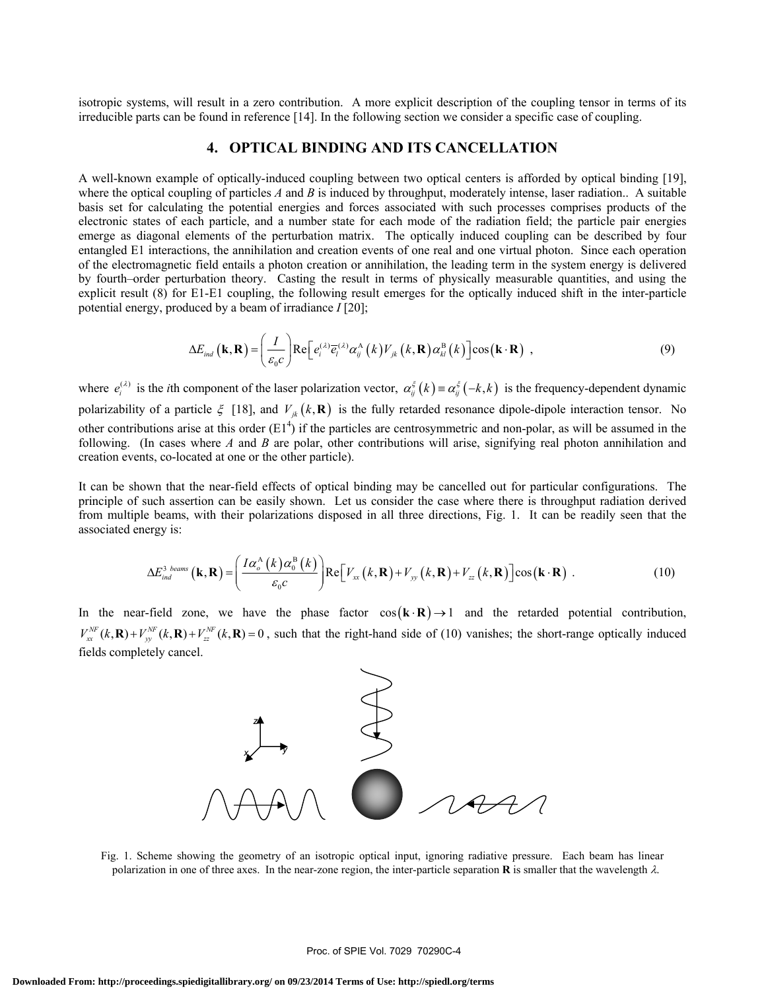isotropic systems, will result in a zero contribution. A more explicit description of the coupling tensor in terms of its irreducible parts can be found in reference [14]. In the following section we consider a specific case of coupling.

#### **4. OPTICAL BINDING AND ITS CANCELLATION**

A well-known example of optically-induced coupling between two optical centers is afforded by optical binding [19], where the optical coupling of particles *A* and *B* is induced by throughput, moderately intense, laser radiation.. A suitable basis set for calculating the potential energies and forces associated with such processes comprises products of the electronic states of each particle, and a number state for each mode of the radiation field; the particle pair energies emerge as diagonal elements of the perturbation matrix. The optically induced coupling can be described by four entangled E1 interactions, the annihilation and creation events of one real and one virtual photon. Since each operation of the electromagnetic field entails a photon creation or annihilation, the leading term in the system energy is delivered by fourth–order perturbation theory. Casting the result in terms of physically measurable quantities, and using the explicit result (8) for E1-E1 coupling, the following result emerges for the optically induced shift in the inter-particle potential energy, produced by a beam of irradiance *I* [20];

$$
\Delta E_{ind}(\mathbf{k}, \mathbf{R}) = \left(\frac{I}{\varepsilon_0 c}\right) \text{Re}\left[e_i^{(\lambda)} \overline{e}_i^{(\lambda)} \alpha_j^{\mathbf{A}}(k) V_{jk}(k, \mathbf{R}) \alpha_k^{\mathbf{B}}(k)\right] \cos(\mathbf{k} \cdot \mathbf{R}) ,
$$
\n(9)

where  $e_i^{(\lambda)}$  is the *i*th component of the laser polarization vector,  $\alpha_{ij}^{\xi}(k) = \alpha_{ij}^{\xi}(-k, k)$  is the frequency-dependent dynamic polarizability of a particle  $\xi$  [18], and  $V_{ik}$   $(k, \mathbf{R})$  is the fully retarded resonance dipole-dipole interaction tensor. No other contributions arise at this order  $(E1<sup>4</sup>)$  if the particles are centrosymmetric and non-polar, as will be assumed in the following. (In cases where *A* and *B* are polar, other contributions will arise, signifying real photon annihilation and creation events, co-located at one or the other particle).

It can be shown that the near-field effects of optical binding may be cancelled out for particular configurations. The principle of such assertion can be easily shown. Let us consider the case where there is throughput radiation derived from multiple beams, with their polarizations disposed in all three directions, Fig. 1. It can be readily seen that the associated energy is:

$$
\Delta E_{ind}^{3\text{ beams}}\left(\mathbf{k},\mathbf{R}\right) = \left(\frac{I\alpha_o^{\mathcal{A}}\left(k\right)\alpha_0^{\mathcal{B}}\left(k\right)}{\varepsilon_0 c}\right) \text{Re}\left[V_{xx}\left(k,\mathbf{R}\right) + V_{yy}\left(k,\mathbf{R}\right) + V_{zz}\left(k,\mathbf{R}\right)\right] \cos\left(\mathbf{k}\cdot\mathbf{R}\right) \tag{10}
$$

In the near-field zone, we have the phase factor  $cos(k \cdot R) \rightarrow 1$  and the retarded potential contribution,  $V_{xx}^{NF}(k, \mathbf{R}) + V_{yy}^{NF}(k, \mathbf{R}) + V_{zz}^{NF}(k, \mathbf{R}) = 0$ , such that the right-hand side of (10) vanishes; the short-range optically induced fields completely cancel.



Fig. 1. Scheme showing the geometry of an isotropic optical input, ignoring radiative pressure. Each beam has linear polarization in one of three axes. In the near-zone region, the inter-particle separation **R** is smaller that the wavelength λ.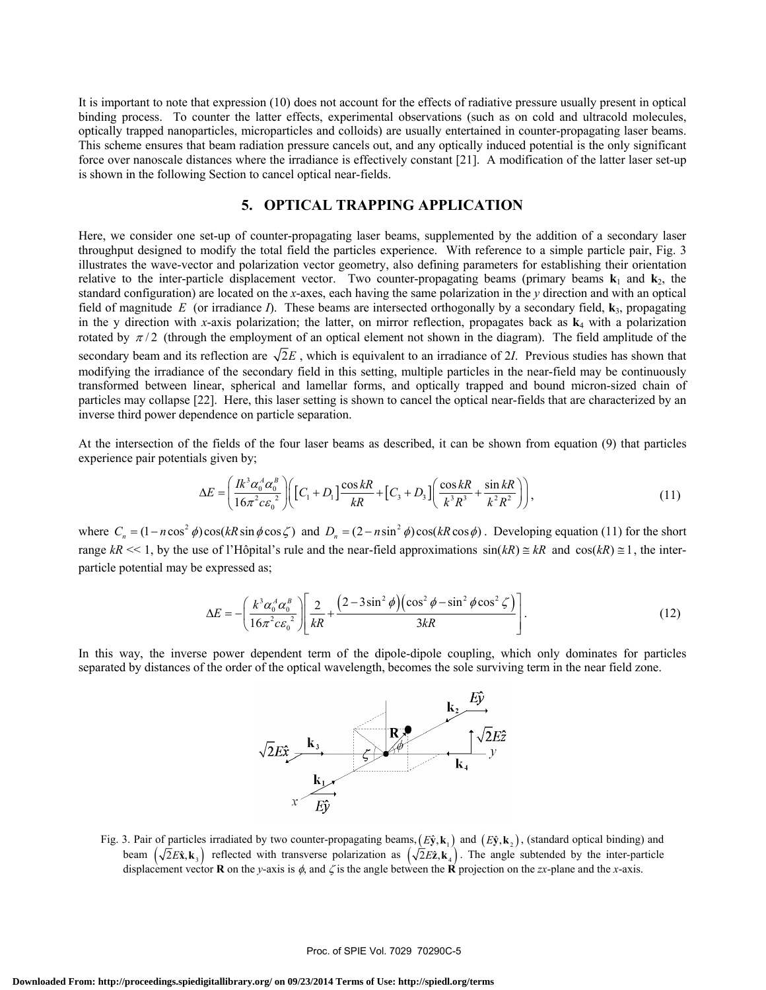It is important to note that expression (10) does not account for the effects of radiative pressure usually present in optical binding process. To counter the latter effects, experimental observations (such as on cold and ultracold molecules, optically trapped nanoparticles, microparticles and colloids) are usually entertained in counter-propagating laser beams. This scheme ensures that beam radiation pressure cancels out, and any optically induced potential is the only significant force over nanoscale distances where the irradiance is effectively constant [21]. A modification of the latter laser set-up is shown in the following Section to cancel optical near-fields.

# **5. OPTICAL TRAPPING APPLICATION**

Here, we consider one set-up of counter-propagating laser beams, supplemented by the addition of a secondary laser throughput designed to modify the total field the particles experience. With reference to a simple particle pair, Fig. 3 illustrates the wave-vector and polarization vector geometry, also defining parameters for establishing their orientation relative to the inter-particle displacement vector. Two counter-propagating beams (primary beams  $\mathbf{k}_1$  and  $\mathbf{k}_2$ , the standard configuration) are located on the *x*-axes, each having the same polarization in the *y* direction and with an optical field of magnitude *E* (or irradiance *I*). These beams are intersected orthogonally by a secondary field, **k**3, propagating in the y direction with *x*-axis polarization; the latter, on mirror reflection, propagates back as  $\mathbf{k}_4$  with a polarization rotated by  $\pi/2$  (through the employment of an optical element not shown in the diagram). The field amplitude of the secondary beam and its reflection are  $\sqrt{2}E$ , which is equivalent to an irradiance of 2*I*. Previous studies has shown that modifying the irradiance of the secondary field in this setting, multiple particles in the near-field may be continuously transformed between linear, spherical and lamellar forms, and optically trapped and bound micron-sized chain of particles may collapse [22]. Here, this laser setting is shown to cancel the optical near-fields that are characterized by an inverse third power dependence on particle separation.

At the intersection of the fields of the four laser beams as described, it can be shown from equation (9) that particles experience pair potentials given by;

$$
\Delta E = \left(\frac{Ik^3\alpha_0^A\alpha_0^B}{16\pi^2 c \varepsilon_0^2}\right) \left[ \left(C_1 + D_1\right) \frac{\cos kR}{kR} + \left[C_3 + D_3\right] \left(\frac{\cos kR}{k^3R^3} + \frac{\sin kR}{k^2R^2}\right) \right],\tag{11}
$$

where  $C_n = (1 - n \cos^2 \phi) \cos(kR \sin \phi \cos \zeta)$  and  $D_n = (2 - n \sin^2 \phi) \cos(kR \cos \phi)$ . Developing equation (11) for the short range  $kR \ll 1$ , by the use of l'Hôpital's rule and the near-field approximations  $sin(kR) \approx kR$  and  $cos(kR) \approx 1$ , the interparticle potential may be expressed as;

$$
\Delta E = -\left(\frac{k^3 \alpha_0^A \alpha_0^B}{16\pi^2 c \varepsilon_0^2}\right) \left[\frac{2}{kR} + \frac{\left(2 - 3\sin^2\phi\right) \left(\cos^2\phi - \sin^2\phi\cos^2\zeta\right)}{3kR}\right].
$$
\n(12)

In this way, the inverse power dependent term of the dipole-dipole coupling, which only dominates for particles separated by distances of the order of the optical wavelength, becomes the sole surviving term in the near field zone.



Fig. 3. Pair of particles irradiated by two counter-propagating beams,  $(E\hat{y}, \mathbf{k}_1)$  and  $(E\hat{y}, \mathbf{k}_2)$ , (standard optical binding) and beam  $(\sqrt{2}E\hat{\mathbf{x}}, \mathbf{k}_1)$  reflected with transverse polarization as  $(\sqrt{2}E\hat{\mathbf{z}}, \mathbf{k}_4)$ . The angle subtended by the inter-particle displacement vector **R** on the *y*-axis is  $\phi$ , and  $\zeta$  is the angle between the **R** projection on the *zx*-plane and the *x*-axis.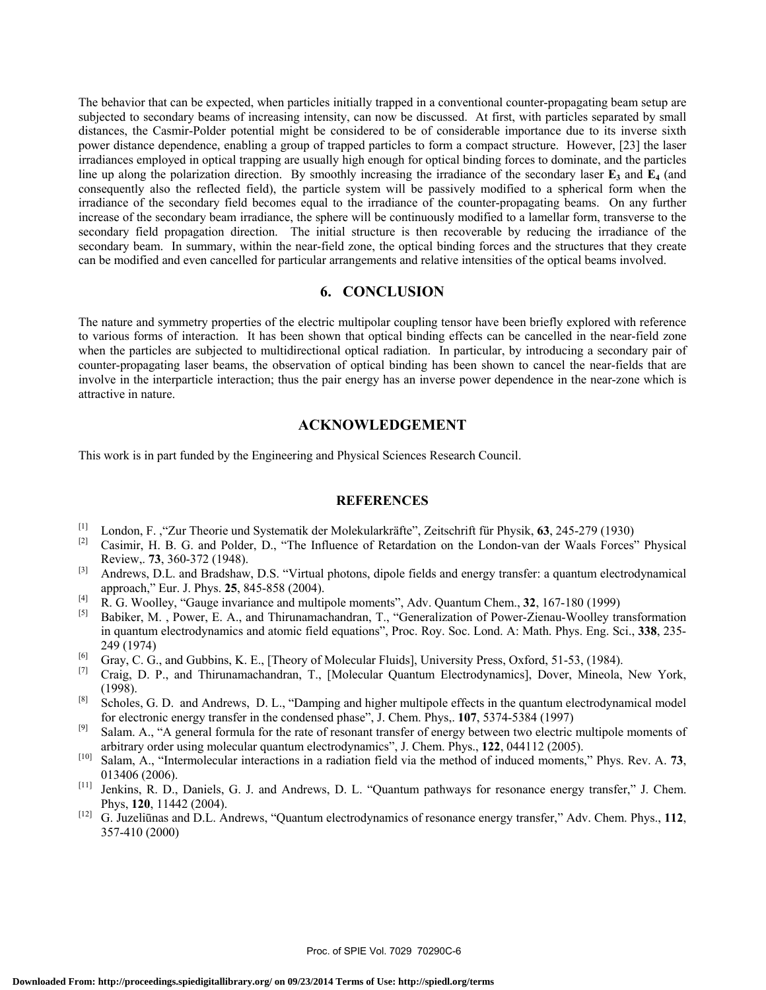The behavior that can be expected, when particles initially trapped in a conventional counter-propagating beam setup are subjected to secondary beams of increasing intensity, can now be discussed. At first, with particles separated by small distances, the Casmir-Polder potential might be considered to be of considerable importance due to its inverse sixth power distance dependence, enabling a group of trapped particles to form a compact structure. However, [23] the laser irradiances employed in optical trapping are usually high enough for optical binding forces to dominate, and the particles line up along the polarization direction. By smoothly increasing the irradiance of the secondary laser  $\mathbf{E}_3$  and  $\mathbf{E}_4$  (and consequently also the reflected field), the particle system will be passively modified to a spherical form when the irradiance of the secondary field becomes equal to the irradiance of the counter-propagating beams. On any further increase of the secondary beam irradiance, the sphere will be continuously modified to a lamellar form, transverse to the secondary field propagation direction. The initial structure is then recoverable by reducing the irradiance of the secondary beam. In summary, within the near-field zone, the optical binding forces and the structures that they create can be modified and even cancelled for particular arrangements and relative intensities of the optical beams involved.

## **6. CONCLUSION**

The nature and symmetry properties of the electric multipolar coupling tensor have been briefly explored with reference to various forms of interaction. It has been shown that optical binding effects can be cancelled in the near-field zone when the particles are subjected to multidirectional optical radiation. In particular, by introducing a secondary pair of counter-propagating laser beams, the observation of optical binding has been shown to cancel the near-fields that are involve in the interparticle interaction; thus the pair energy has an inverse power dependence in the near-zone which is attractive in nature.

## **ACKNOWLEDGEMENT**

This work is in part funded by the Engineering and Physical Sciences Research Council.

#### **REFERENCES**

- [1] London, F. ,"Zur Theorie und Systematik der Molekularkräfte", Zeitschrift für Physik, **63**, 245-279 (1930)
- [2] Casimir, H. B. G. and Polder, D., "The Influence of Retardation on the London-van der Waals Forces" Physical Review,. **73**, 360-372 (1948).
- [3] Andrews, D.L. and Bradshaw, D.S. "Virtual photons, dipole fields and energy transfer: a quantum electrodynamical approach," Eur. J. Phys. **25**, 845-858 (2004).
- $\begin{bmatrix} 4 \end{bmatrix}$  R. G. Woolley, "Gauge invariance and multipole moments", Adv. Quantum Chem., **32**, 167-180 (1999)<br>
[5] Babiker M. Power F. A. and Thirunamachandran T. "Generalization of Power-Zienau-Woolley tra
- [5] Babiker, M. , Power, E. A., and Thirunamachandran, T., "Generalization of Power-Zienau-Woolley transformation in quantum electrodynamics and atomic field equations", Proc. Roy. Soc. Lond. A: Math. Phys. Eng. Sci., **338**, 235- 249 (1974)
- [6] Gray, C. G., and Gubbins, K. E., [Theory of Molecular Fluids], University Press, Oxford, 51-53, (1984).<br>[7] Graig D. P., and Thirunamachandran, T. [Molecular Quantum Electrodynamics], Dover, Mineola
- Craig, D. P., and Thirunamachandran, T., [Molecular Quantum Electrodynamics], Dover, Mineola, New York, (1998).
- [8] Scholes, G. D. and Andrews, D. L., "Damping and higher multipole effects in the quantum electrodynamical model for electronic energy transfer in the condensed phase", J. Chem. Phys,. **107**, 5374-5384 (1997)
- [9] Salam. A., "A general formula for the rate of resonant transfer of energy between two electric multipole moments of arbitrary order using molecular quantum electrodynamics", J. Chem. Phys., **122**, 044112 (2005).
- [10] Salam, A., "Intermolecular interactions in a radiation field via the method of induced moments," Phys. Rev. A. **73**, 013406 (2006).
- [11] Jenkins, R. D., Daniels, G. J. and Andrews, D. L. "Quantum pathways for resonance energy transfer," J. Chem. Phys, **120**, 11442 (2004).
- [12] G. Juzeliūnas and D.L. Andrews, "Quantum electrodynamics of resonance energy transfer," Adv. Chem. Phys., **112**, 357-410 (2000)